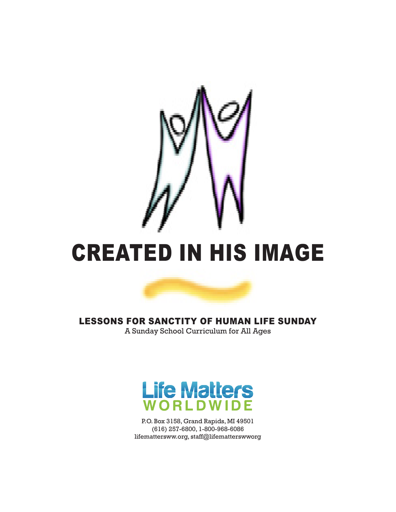





P.O. Box 3158, Grand Rapids, MI 49501 (616) 257-6800, 1-800-968-6086 lifemattersww.org, staff@lifematterswworg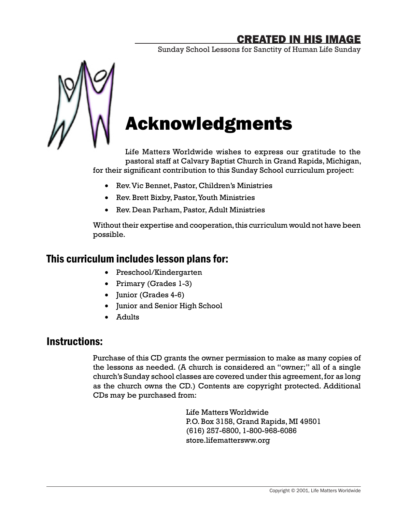Sunday School Lessons for Sanctity of Human Life Sunday



# Acknowledgments

Life Matters Worldwide wishes to express our gratitude to the pastoral staff at Calvary Baptist Church in Grand Rapids, Michigan, for their significant contribution to this Sunday School curriculum project:

- • Rev. Vic Bennet, Pastor, Children's Ministries
- Rev. Brett Bixby, Pastor, Youth Ministries
- Rev. Dean Parham, Pastor, Adult Ministries

Without their expertise and cooperation, this curriculum would not have been possible.

### This curriculum includes lesson plans for:

- • Preschool/Kindergarten
- Primary (Grades 1-3)
- Junior (Grades 4-6)
- • Junior and Senior High School
- • Adults

### Instructions:

Purchase of this CD grants the owner permission to make as many copies of the lessons as needed. (A church is considered an "owner;" all of a single church's Sunday school classes are covered under this agreement, for as long as the church owns the CD.) Contents are copyright protected. Additional CDs may be purchased from:

> Life Matters Worldwide P.O. Box 3158, Grand Rapids, MI 49501 (616) 257-6800, 1-800-968-6086 store.lifemattersww.org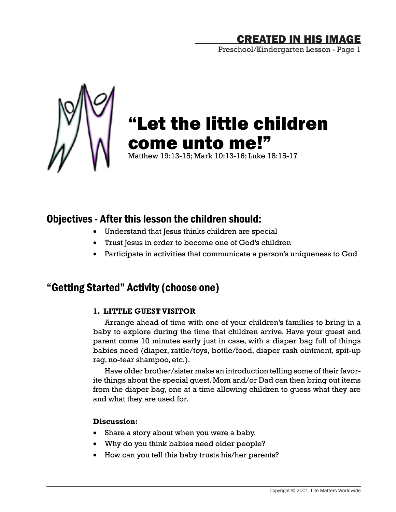Preschool/Kindergarten Lesson - Page 1



# "Let the little children come unto me!"

Matthew 19:13-15; Mark 10:13-16; Luke 18:15-17

### Objectives - After this lesson the children should:

- • Understand that Jesus thinks children are special
- • Trust Jesus in order to become one of God's children
- • Participate in activities that communicate a person's uniqueness to God

### "Getting Started" Activity (choose one)

### **1. LITTLE GUEST VISITOR**

Arrange ahead of time with one of your children's families to bring in a baby to explore during the time that children arrive. Have your guest and parent come 10 minutes early just in case, with a diaper bag full of things babies need (diaper, rattle/toys, bottle/food, diaper rash ointment, spit-up rag, no-tear shampoo, etc.).

Have older brother/sister make an introduction telling some of their favorite things about the special guest. Mom and/or Dad can then bring out items from the diaper bag, one at a time allowing children to guess what they are and what they are used for.

### **Discussion:**

- Share a story about when you were a baby.
- Why do you think babies need older people?
- How can you tell this baby trusts his/her parents?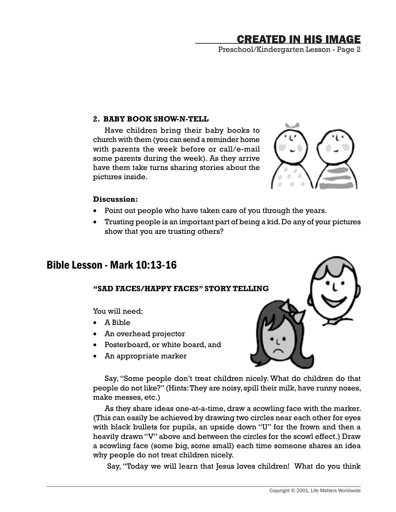Preschool/Kindergarten Lesson - Page 2

#### **2. BABY BOOK SHOW-N-TELL**

Have children bring their baby books to church with them (you can send a reminder home with parents the week before or call/e-mail some parents during the week). As they arrive have them take turns sharing stories about the pictures inside.



#### **Discussion:**

- Point out people who have taken care of you through the years.
- Trusting people is an important part of being a kid. Do any of your pictures show that you are trusting others?

### Bible Lesson - Mark 10:13-16

### **"SAD FACES/HAPPY FACES" STORY TELLING**

You will need:

- • A Bible
- • An overhead projector
- • Posterboard, or white board, and
- An appropriate marker

Say, "Some people don't treat children nicely. What do children do that people do not like?" (Hints: They are noisy, spill their milk, have runny noses, make messes, etc.)

As they share ideas one-at-a-time, draw a scowling face with the marker. (This can easily be achieved by drawing two circles near each other for eyes with black bullets for pupils, an upside down "U" for the frown and then a heavily drawn "V" above and between the circles for the scowl effect.) Draw a scowling face (some big, some small) each time someone shares an idea why people do not treat children nicely.

Say, "Today we will learn that Jesus loves children! What do you think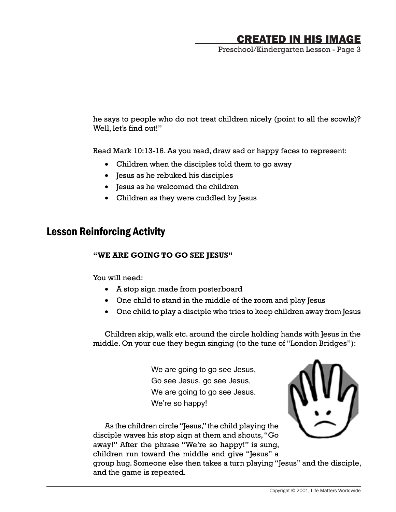Preschool/Kindergarten Lesson - Page 3

he says to people who do not treat children nicely (point to all the scowls)? Well, let's find out!"

Read Mark 10:13-16. As you read, draw sad or happy faces to represent:

- Children when the disciples told them to go away
- • Jesus as he rebuked his disciples
- • Jesus as he welcomed the children
- • Children as they were cuddled by Jesus

### Lesson Reinforcing Activity

#### **"WE ARE GOING TO GO SEE JESUS"**

You will need:

- • A stop sign made from posterboard
- One child to stand in the middle of the room and play Jesus
- One child to play a disciple who tries to keep children away from Jesus

Children skip, walk etc. around the circle holding hands with Jesus in the middle. On your cue they begin singing (to the tune of "London Bridges"):

> We are going to go see Jesus, Go see Jesus, go see Jesus, We are going to go see Jesus. We're so happy!



As the children circle "Jesus," the child playing the disciple waves his stop sign at them and shouts, "Go away!" After the phrase "We're so happy!" is sung, children run toward the middle and give "Jesus" a

group hug. Someone else then takes a turn playing "Jesus" and the disciple, and the game is repeated.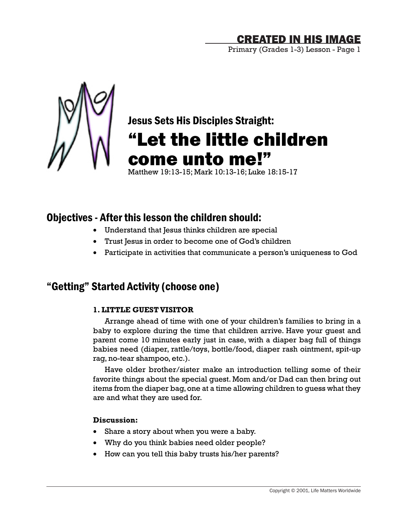Primary (Grades 1-3) Lesson - Page 1



# Jesus Sets His Disciples Straight: "Let the little children come unto me!"

Matthew 19:13-15; Mark 10:13-16; Luke 18:15-17

### Objectives - After this lesson the children should:

- • Understand that Jesus thinks children are special
- Trust Jesus in order to become one of God's children
- Participate in activities that communicate a person's uniqueness to God

### "Getting" Started Activity (choose one)

### **1. LITTLE GUEST VISITOR**

Arrange ahead of time with one of your children's families to bring in a baby to explore during the time that children arrive. Have your guest and parent come 10 minutes early just in case, with a diaper bag full of things babies need (diaper, rattle/toys, bottle/food, diaper rash ointment, spit-up rag, no-tear shampoo, etc.).

Have older brother/sister make an introduction telling some of their favorite things about the special guest. Mom and/or Dad can then bring out items from the diaper bag, one at a time allowing children to guess what they are and what they are used for.

### **Discussion:**

- Share a story about when you were a baby.
- Why do you think babies need older people?
- How can you tell this baby trusts his/her parents?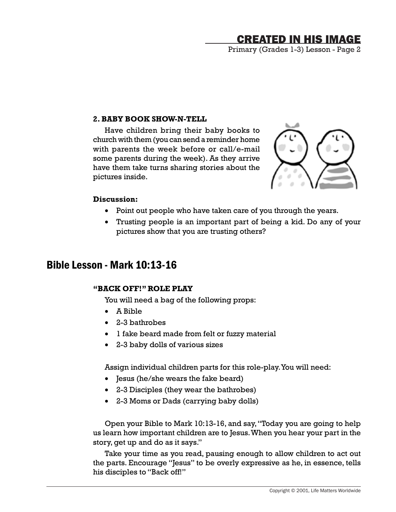Primary (Grades 1-3) Lesson - Page 2

#### **2. BABY BOOK SHOW-N-TELL**

Have children bring their baby books to church with them (you can send a reminder home with parents the week before or call/e-mail some parents during the week). As they arrive have them take turns sharing stories about the pictures inside.



#### **Discussion:**

- Point out people who have taken care of you through the years.
- Trusting people is an important part of being a kid. Do any of your pictures show that you are trusting others?

### Bible Lesson - Mark 10:13-16

#### **"BACK OFF!" ROLE PLAY**

You will need a bag of the following props:

- • A Bible
- • 2-3 bathrobes
- • 1 fake beard made from felt or fuzzy material
- • 2-3 baby dolls of various sizes

Assign individual children parts for this role-play. You will need:

- Jesus (he/she wears the fake beard)
- • 2-3 Disciples (they wear the bathrobes)
- • 2-3 Moms or Dads (carrying baby dolls)

Open your Bible to Mark 10:13-16, and say, "Today you are going to help us learn how important children are to Jesus. When you hear your part in the story, get up and do as it says."

Take your time as you read, pausing enough to allow children to act out the parts. Encourage "Jesus" to be overly expressive as he, in essence, tells his disciples to "Back off!"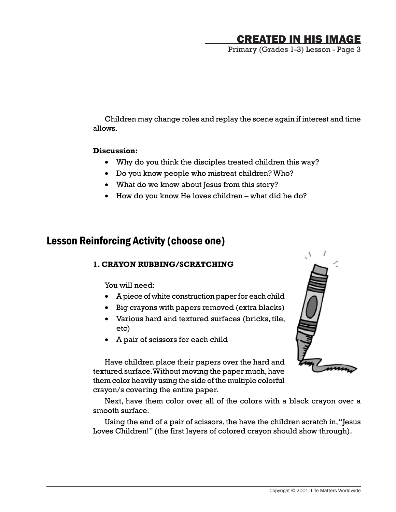Primary (Grades 1-3) Lesson - Page 3

Children may change roles and replay the scene again if interest and time allows.

#### **Discussion:**

- Why do you think the disciples treated children this way?
- Do you know people who mistreat children? Who?
- What do we know about Jesus from this story?
- How do you know He loves children what did he do?

### Lesson Reinforcing Activity (choose one)

### **1. CRAYON RUBBING/SCRATCHING**

You will need:

- • A piece of white construction paper for each child
- • Big crayons with papers removed (extra blacks)
- • Various hard and textured surfaces (bricks, tile, etc)
- • A pair of scissors for each child



Have children place their papers over the hard and textured surface. Without moving the paper much, have them color heavily using the side of the multiple colorful crayon/s covering the entire paper.

Next, have them color over all of the colors with a black crayon over a smooth surface.

Using the end of a pair of scissors, the have the children scratch in, "Jesus Loves Children!" (the first layers of colored crayon should show through).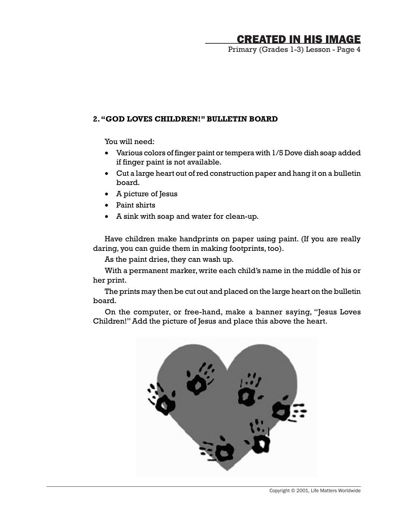Primary (Grades 1-3) Lesson - Page 4

#### **2. "GOD LOVES CHILDREN!" BULLETIN BOARD**

You will need:

- Various colors of finger paint or tempera with 1/5 Dove dish soap added if finger paint is not available.
- Cut a large heart out of red construction paper and hang it on a bulletin board.
- • A picture of Jesus
- • Paint shirts
- • A sink with soap and water for clean-up.

Have children make handprints on paper using paint. (If you are really daring, you can guide them in making footprints, too).

As the paint dries, they can wash up.

With a permanent marker, write each child's name in the middle of his or her print.

The prints may then be cut out and placed on the large heart on the bulletin board.

On the computer, or free-hand, make a banner saying, "Jesus Loves Children!" Add the picture of Jesus and place this above the heart.

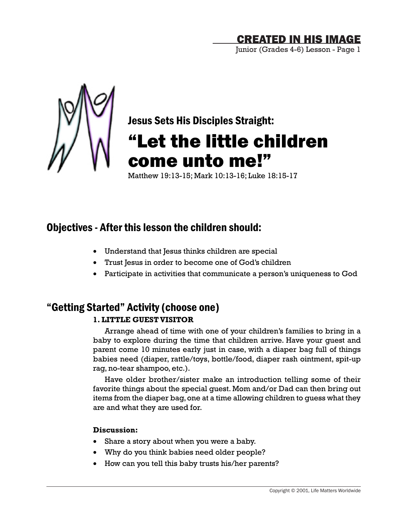Junior (Grades 4-6) Lesson - Page 1



Jesus Sets His Disciples Straight:

# "Let the little children come unto me!"

Matthew 19:13-15; Mark 10:13-16; Luke 18:15-17

### Objectives - After this lesson the children should:

- Understand that Jesus thinks children are special
- Trust Jesus in order to become one of God's children
- Participate in activities that communicate a person's uniqueness to God

### "Getting Started" Activity (choose one) **1. LITTLE GUEST VISITOR**

Arrange ahead of time with one of your children's families to bring in a baby to explore during the time that children arrive. Have your guest and parent come 10 minutes early just in case, with a diaper bag full of things babies need (diaper, rattle/toys, bottle/food, diaper rash ointment, spit-up rag, no-tear shampoo, etc.).

Have older brother/sister make an introduction telling some of their favorite things about the special guest. Mom and/or Dad can then bring out items from the diaper bag, one at a time allowing children to guess what they are and what they are used for.

### **Discussion:**

- Share a story about when you were a baby.
- Why do you think babies need older people?
- How can you tell this baby trusts his/her parents?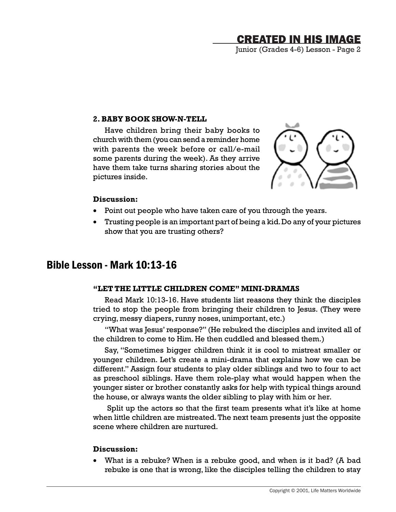Junior (Grades 4-6) Lesson - Page 2

#### **2. BABY BOOK SHOW-N-TELL**

Have children bring their baby books to church with them (you can send a reminder home with parents the week before or call/e-mail some parents during the week). As they arrive have them take turns sharing stories about the pictures inside.



#### **Discussion:**

- Point out people who have taken care of you through the years.
- Trusting people is an important part of being a kid. Do any of your pictures show that you are trusting others?

### Bible Lesson - Mark 10:13-16

#### **"LET THE LITTLE CHILDREN COME" MINI-DRAMAS**

Read Mark 10:13-16. Have students list reasons they think the disciples tried to stop the people from bringing their children to Jesus. (They were crying, messy diapers, runny noses, unimportant, etc.)

"What was Jesus' response?" (He rebuked the disciples and invited all of the children to come to Him. He then cuddled and blessed them.)

Say, "Sometimes bigger children think it is cool to mistreat smaller or younger children. Let's create a mini-drama that explains how we can be different." Assign four students to play older siblings and two to four to act as preschool siblings. Have them role-play what would happen when the younger sister or brother constantly asks for help with typical things around the house, or always wants the older sibling to play with him or her.

Split up the actors so that the first team presents what it's like at home when little children are mistreated. The next team presents just the opposite scene where children are nurtured.

#### **Discussion:**

• What is a rebuke? When is a rebuke good, and when is it bad? (A bad rebuke is one that is wrong, like the disciples telling the children to stay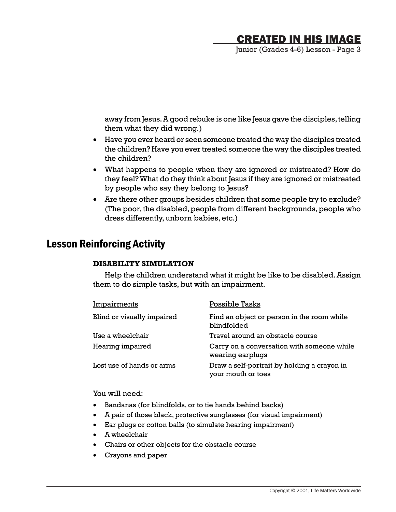Junior (Grades 4-6) Lesson - Page 3

away from Jesus. A good rebuke is one like Jesus gave the disciples, telling them what they did wrong.)

- • Have you ever heard or seen someone treated the way the disciples treated the children? Have you ever treated someone the way the disciples treated the children?
- What happens to people when they are ignored or mistreated? How do they feel? What do they think about Jesus if they are ignored or mistreated by people who say they belong to Jesus?
- Are there other groups besides children that some people try to exclude? (The poor, the disabled, people from different backgrounds, people who dress differently, unborn babies, etc.)

### Lesson Reinforcing Activity

### **DISABILITY SIMULATION**

Help the children understand what it might be like to be disabled. Assign them to do simple tasks, but with an impairment.

| Impairments                | Possible Tasks                                                    |
|----------------------------|-------------------------------------------------------------------|
| Blind or visually impaired | Find an object or person in the room while<br>blindfolded         |
| Use a wheelchair           | Travel around an obstacle course                                  |
| Hearing impaired           | Carry on a conversation with someone while<br>wearing earplugs    |
| Lost use of hands or arms  | Draw a self-portrait by holding a crayon in<br>your mouth or toes |

You will need:

- • Bandanas (for blindfolds, or to tie hands behind backs)
- • A pair of those black, protective sunglasses (for visual impairment)
- • Ear plugs or cotton balls (to simulate hearing impairment)
- • A wheelchair
- • Chairs or other objects for the obstacle course
- • Crayons and paper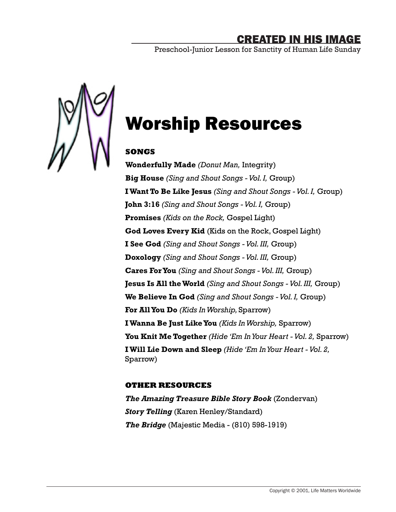Preschool-Junior Lesson for Sanctity of Human Life Sunday



# Worship Resources

### **SONGS**

**Wonderfully Made** *(Donut Man,* Integrity) **Big House** *(Sing and Shout Songs - Vol. I,* Group) **I Want To Be Like Jesus** *(Sing and Shout Songs - Vol. I,* Group) **John 3:16** *(Sing and Shout Songs - Vol. I,* Group) **Promises** *(Kids on the Rock,* Gospel Light) **God Loves Every Kid** (Kids on the Rock, Gospel Light) **I See God** *(Sing and Shout Songs - Vol. III,* Group) **Doxology** *(Sing and Shout Songs - Vol. III,* Group) **Cares For You** *(Sing and Shout Songs - Vol. III,* Group) **Jesus Is All the World** *(Sing and Shout Songs - Vol. III,* Group) **We Believe In God** *(Sing and Shout Songs - Vol. I,* Group) **For All You Do** *(Kids In Worship,* Sparrow) **I Wanna Be Just Like You** *(Kids In Worship,* Sparrow) **You Knit Me Together** *(Hide 'Em In Your Heart - Vol. 2,* Sparrow) **I Will Lie Down and Sleep** *(Hide 'Em In Your Heart - Vol. 2,* Sparrow)

### **OTHER RESOURCES**

*The Amazing Treasure Bible Story Book* (Zondervan) *Story Telling* (Karen Henley/Standard) *The Bridge* (Majestic Media - (810) 598-1919)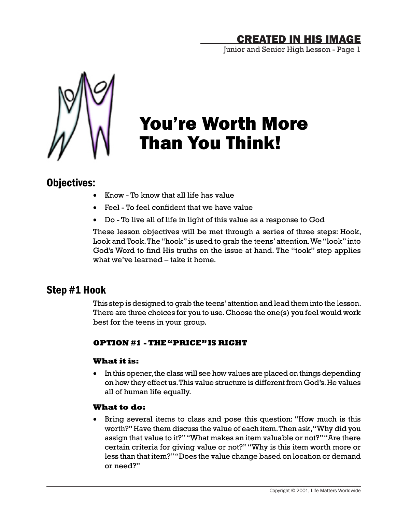Junior and Senior High Lesson - Page 1



# You're Worth More Than You Think!

### Objectives:

- • Know To know that all life has value
- Feel To feel confident that we have value
- • Do To live all of life in light of this value as a response to God

These lesson objectives will be met through a series of three steps: Hook, Look and Took. The "hook" is used to grab the teens' attention. We "look" into God's Word to find His truths on the issue at hand. The "took" step applies what we've learned – take it home.

### Step #1 Hook

This step is designed to grab the teens' attention and lead them into the lesson. There are three choices for you to use. Choose the one(s) you feel would work best for the teens in your group.

### **OPTION #1 - THE "PRICE" IS RIGHT**

### **What it is:**

• In this opener, the class will see how values are placed on things depending on how they effect us. This value structure is different from God's. He values all of human life equally.

### **What to do:**

• Bring several items to class and pose this question: "How much is this worth?" Have them discuss the value of each item. Then ask, "Why did you assign that value to it?" "What makes an item valuable or not?" "Are there certain criteria for giving value or not?" "Why is this item worth more or less than that item?" "Does the value change based on location or demand or need?"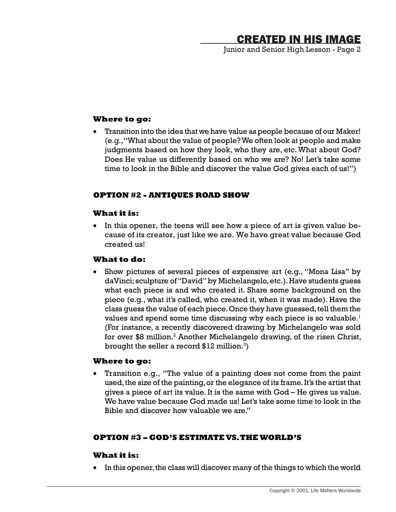Junior and Senior High Lesson - Page 2

#### **Where to go:**

Transition into the idea that we have value as people because of our Maker! (e.g., "What about the value of people? We often look at people and make judgments based on how they look, who they are, etc. What about God? Does He value us differently based on who we are? No! Let's take some time to look in the Bible and discover the value God gives each of us!")

### **OPTION #2 - ANTIQUES ROAD SHOW**

### **What it is:**

• In this opener, the teens will see how a piece of art is given value because of its creator, just like we are. We have great value because God created us!

### **What to do:**

Show pictures of several pieces of expensive art (e.g., "Mona Lisa" by daVinci; sculpture of "David" by Michelangelo, etc.). Have students guess what each piece is and who created it. Share some background on the piece (e.g., what it's called, who created it, when it was made). Have the class guess the value of each piece. Once they have guessed, tell them the values and spend some time discussing why each piece is so valuable. $1$ (For instance, a recently discovered drawing by Michelangelo was sold for over \$8 million.<sup>2</sup> Another Michelangelo drawing, of the risen Christ, brought the seller a record  $$12$  million. $^{3})$ 

### **Where to go:**

Transition e.g., "The value of a painting does not come from the paint used, the size of the painting, or the elegance of its frame. It's the artist that gives a piece of art its value. It is the same with God – He gives us value. We have value because God made us! Let's take some time to look in the Bible and discover how valuable we are."

### **OPTION #3 – GOD'S ESTIMATE VS. THE WORLD'S**

### **What it is:**

In this opener, the class will discover many of the things to which the world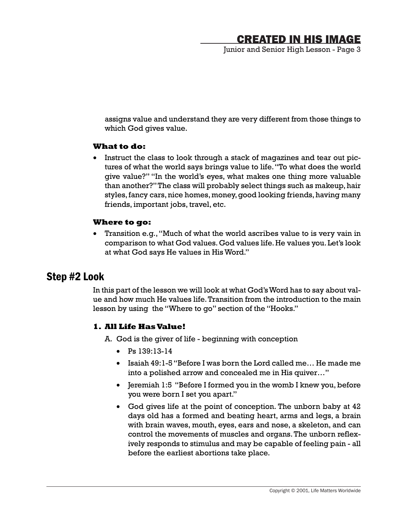Junior and Senior High Lesson - Page 3

assigns value and understand they are very different from those things to which God gives value.

#### **What to do:**

• Instruct the class to look through a stack of magazines and tear out pictures of what the world says brings value to life. "To what does the world give value?" "In the world's eyes, what makes one thing more valuable than another?" The class will probably select things such as makeup, hair styles, fancy cars, nice homes, money, good looking friends, having many friends, important jobs, travel, etc.

#### **Where to go:**

Transition e.g., "Much of what the world ascribes value to is very vain in comparison to what God values. God values life. He values you. Let's look at what God says He values in His Word."

### Step #2 Look

In this part of the lesson we will look at what God's Word has to say about value and how much He values life. Transition from the introduction to the main lesson by using the "Where to go" section of the "Hooks."

#### **1. All Life Has Value!**

- A. God is the giver of life beginning with conception
	- • Ps 139:13-14
	- • Isaiah 49:1-5 "Before I was born the Lord called me… He made me into a polished arrow and concealed me in His quiver…"
	- Jeremiah 1:5 "Before I formed you in the womb I knew you, before you were born I set you apart."
	- God gives life at the point of conception. The unborn baby at 42 days old has a formed and beating heart, arms and legs, a brain with brain waves, mouth, eyes, ears and nose, a skeleton, and can control the movements of muscles and organs. The unborn reflexively responds to stimulus and may be capable of feeling pain - all before the earliest abortions take place.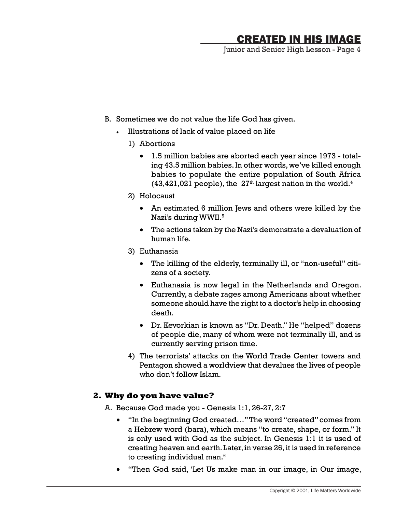Junior and Senior High Lesson - Page 4

- B. Sometimes we do not value the life God has given.
	- Illustrations of lack of value placed on life
		- 1) Abortions
			- 1.5 million babies are aborted each year since 1973 totaling 43.5 million babies. In other words, we've killed enough babies to populate the entire population of South Africa  $(43, 421, 021$  people), the  $27<sup>th</sup>$  largest nation in the world.<sup>4</sup>
		- 2) Holocaust
			- An estimated 6 million Jews and others were killed by the Nazi's during WWII.<sup>5</sup>
			- The actions taken by the Nazi's demonstrate a devaluation of human life.
		- 3) Euthanasia
			- The killing of the elderly, terminally ill, or "non-useful" citizens of a society.
			- • Euthanasia is now legal in the Netherlands and Oregon. Currently, a debate rages among Americans about whether someone should have the right to a doctor's help in choosing death.
			- • Dr. Kevorkian is known as "Dr. Death." He "helped" dozens of people die, many of whom were not terminally ill, and is currently serving prison time.
		- 4) The terrorists' attacks on the World Trade Center towers and Pentagon showed a worldview that devalues the lives of people who don't follow Islam.

### **2. Why do you have value?**

- A. Because God made you Genesis 1:1, 26-27, 2:7
	- "In the beginning God created..." The word "created" comes from a Hebrew word (bara), which means "to create, shape, or form." It is only used with God as the subject. In Genesis 1:1 it is used of creating heaven and earth. Later, in verse 26, it is used in reference to creating individual man.<sup>6</sup>
	- "Then God said, 'Let Us make man in our image, in Our image,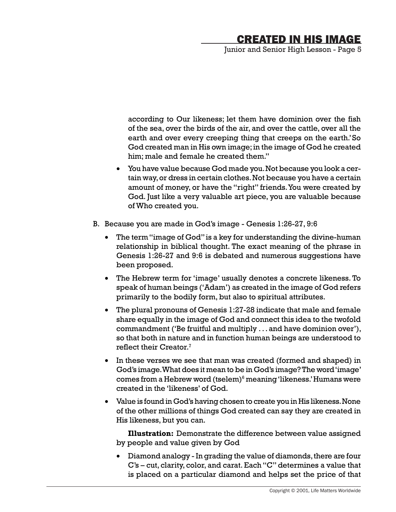Junior and Senior High Lesson - Page 5

according to Our likeness; let them have dominion over the fish of the sea, over the birds of the air, and over the cattle, over all the earth and over every creeping thing that creeps on the earth.'So God created man in His own image; in the image of God he created him; male and female he created them."

- • You have value because God made you. Not because you look a certain way, or dress in certain clothes. Not because you have a certain amount of money, or have the "right" friends. You were created by God. Just like a very valuable art piece, you are valuable because of Who created you.
- B. Because you are made in God's image Genesis 1:26-27, 9:6
	- The term "image of God" is a key for understanding the divine-human relationship in biblical thought. The exact meaning of the phrase in Genesis 1:26-27 and 9:6 is debated and numerous suggestions have been proposed.
	- The Hebrew term for 'image' usually denotes a concrete likeness. To speak of human beings ('Adam') as created in the image of God refers primarily to the bodily form, but also to spiritual attributes.
	- The plural pronouns of Genesis 1:27-28 indicate that male and female share equally in the image of God and connect this idea to the twofold commandment ('Be fruitful and multiply . . . and have dominion over'), so that both in nature and in function human beings are understood to reflect their Creator.<sup>7</sup>
	- In these verses we see that man was created (formed and shaped) in God's image. What does it mean to be in God's image? The word 'image' comes from a Hebrew word (tselem) $^{\rm 6}$  meaning 'likeness.' Humans were created in the 'likeness' of God.
	- • Value is found in God's having chosen to create you in His likeness. None of the other millions of things God created can say they are created in His likeness, but you can.

**Illustration:** Demonstrate the difference between value assigned by people and value given by God

• Diamond analogy - In grading the value of diamonds, there are four C's – cut, clarity, color, and carat. Each "C" determines a value that is placed on a particular diamond and helps set the price of that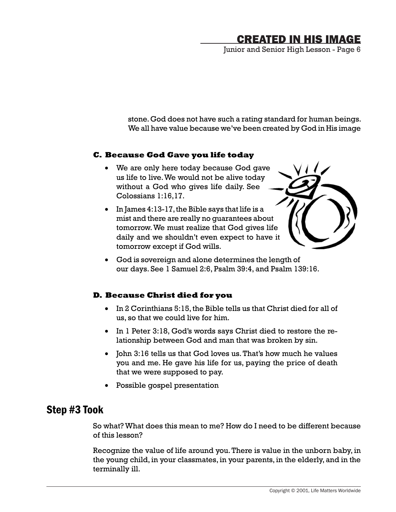Junior and Senior High Lesson - Page 6

stone. God does not have such a rating standard for human beings. We all have value because we've been created by God in His image

### **C. Because God Gave you life today**

- We are only here today because God gave us life to live. We would not be alive today without a God who gives life daily. See Colossians 1:16,17.
- • In James 4:13-17, the Bible says that life is a mist and there are really no guarantees about tomorrow. We must realize that God gives life daily and we shouldn't even expect to have it tomorrow except if God wills.



• God is sovereign and alone determines the length of our days. See 1 Samuel 2:6, Psalm 39:4, and Psalm 139:16.

### **D. Because Christ died for you**

- • In 2 Corinthians 5:15, the Bible tells us that Christ died for all of us, so that we could live for him.
- In 1 Peter 3:18, God's words says Christ died to restore the relationship between God and man that was broken by sin.
- John 3:16 tells us that God loves us. That's how much he values you and me. He gave his life for us, paying the price of death that we were supposed to pay.
- • Possible gospel presentation

### Step #3 Took

So what? What does this mean to me? How do I need to be different because of this lesson?

Recognize the value of life around you. There is value in the unborn baby, in the young child, in your classmates, in your parents, in the elderly, and in the terminally ill.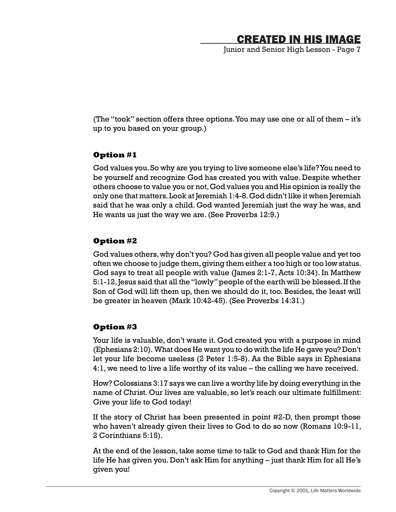Junior and Senior High Lesson - Page 7

(The "took" section offers three options. You may use one or all of them – it's up to you based on your group.)

### **Option #1**

God values you. So why are you trying to live someone else's life? You need to be yourself and recognize God has created you with value. Despite whether others choose to value you or not, God values you and His opinion is really the only one that matters. Look at Jeremiah 1:4-8. God didn't like it when Jeremiah said that he was only a child. God wanted Jeremiah just the way he was, and He wants us just the way we are. (See Proverbs 12:9.)

### **Option #2**

God values others, why don't you? God has given all people value and yet too often we choose to judge them, giving them either a too high or too low status. God says to treat all people with value (James 2:1-7, Acts 10:34). In Matthew 5:1-12, Jesus said that all the "lowly" people of the earth will be blessed. If the Son of God will lift them up, then we should do it, too. Besides, the least will be greater in heaven (Mark 10:42-45). (See Proverbs 14:31.)

### **Option #3**

Your life is valuable, don't waste it. God created you with a purpose in mind (Ephesians 2:10). What does He want you to do with the life He gave you? Don't let your life become useless (2 Peter 1:5-8). As the Bible says in Ephesians 4:1, we need to live a life worthy of its value – the calling we have received.

How? Colossians 3:17 says we can live a worthy life by doing everything in the name of Christ. Our lives are valuable, so let's reach our ultimate fulfillment: Give your life to God today!

If the story of Christ has been presented in point #2-D, then prompt those who haven't already given their lives to God to do so now (Romans 10:9-11, 2 Corinthians 5:15).

At the end of the lesson, take some time to talk to God and thank Him for the life He has given you. Don't ask Him for anything – just thank Him for all He's given you!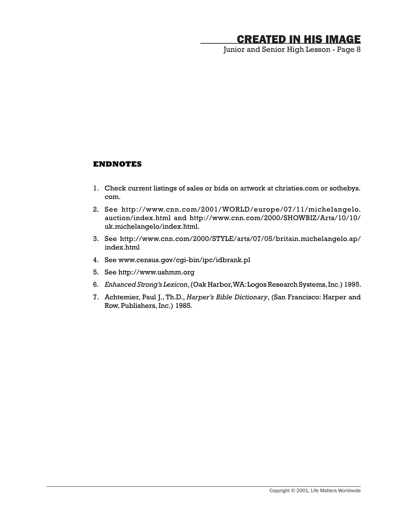Junior and Senior High Lesson - Page 8

#### **ENDNOTES**

- 1. Check current listings of sales or bids on artwork at christies.com or sothebys. com.
- 2. See http://www.cnn.com/2001/WORLD/europe/07/11/michelangelo. auction/index.html and http://www.cnn.com/2000/SHOWBIZ/Arts/10/10/ uk.michelangelo/index.html.
- 3. See http://www.cnn.com/2000/STYLE/arts/07/05/britain.michelangelo.ap/ index.html
- 4. See www.census.gov/cgi-bin/ipc/idbrank.pl
- 5. See http://www.ushmm.org
- 6*. Enhanced Strong's Lexicon*, (Oak Harbor, WA: Logos Research Systems, Inc.) 1995.
- 7. Achtemier, Paul J., Th.D., *Harper's Bible Dictionary*, (San Francisco: Harper and Row, Publishers, Inc.) 1985.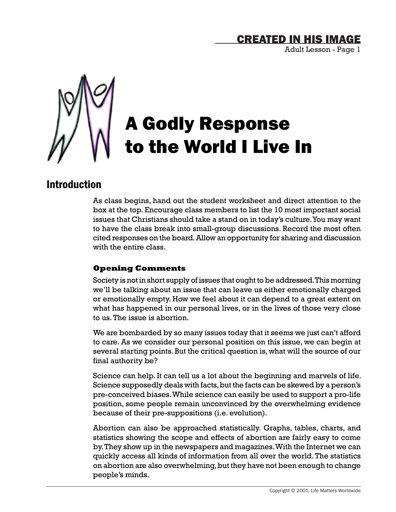Adult Lesson - Page 1



# A Godly Response to the World I Live In

### Introduction

As class begins, hand out the student worksheet and direct attention to the box at the top. Encourage class members to list the 10 most important social issues that Christians should take a stand on in today's culture. You may want to have the class break into small-group discussions. Record the most often cited responses on the board. Allow an opportunity for sharing and discussion with the entire class.

### **Opening Comments**

Society is not in short supply of issues that ought to be addressed. This morning we'll be talking about an issue that can leave us either emotionally charged or emotionally empty. How we feel about it can depend to a great extent on what has happened in our personal lives, or in the lives of those very close to us. The issue is abortion.

We are bombarded by so many issues today that it seems we just can't afford to care. As we consider our personal position on this issue, we can begin at several starting points. But the critical question is, what will the source of our final authority be?

Science can help. It can tell us a lot about the beginning and marvels of life. Science supposedly deals with facts, but the facts can be skewed by a person's pre-conceived biases. While science can easily be used to support a pro-life position, some people remain unconvinced by the overwhelming evidence because of their pre-suppositions (i.e. evolution).

Abortion can also be approached statistically. Graphs, tables, charts, and statistics showing the scope and effects of abortion are fairly easy to come by. They show up in the newspapers and magazines. With the Internet we can quickly access all kinds of information from all over the world. The statistics on abortion are also overwhelming, but they have not been enough to change people's minds.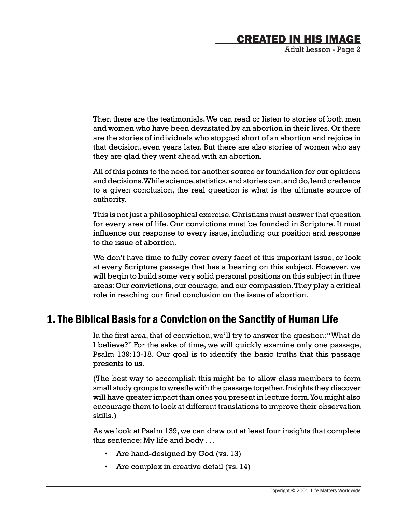Adult Lesson - Page 2

Then there are the testimonials. We can read or listen to stories of both men and women who have been devastated by an abortion in their lives. Or there are the stories of individuals who stopped short of an abortion and rejoice in that decision, even years later. But there are also stories of women who say they are glad they went ahead with an abortion.

All of this points to the need for another source or foundation for our opinions and decisions. While science, statistics, and stories can, and do, lend credence to a given conclusion, the real question is what is the ultimate source of authority.

This is not just a philosophical exercise. Christians must answer that question for every area of life. Our convictions must be founded in Scripture. It must influence our response to every issue, including our position and response to the issue of abortion.

We don't have time to fully cover every facet of this important issue, or look at every Scripture passage that has a bearing on this subject. However, we will begin to build some very solid personal positions on this subject in three areas: Our convictions, our courage, and our compassion. They play a critical role in reaching our final conclusion on the issue of abortion.

### 1. The Biblical Basis for a Conviction on the Sanctity of Human Life

In the first area, that of conviction, we'll try to answer the question: "What do I believe?" For the sake of time, we will quickly examine only one passage, Psalm 139:13-18. Our goal is to identify the basic truths that this passage presents to us.

(The best way to accomplish this might be to allow class members to form small study groups to wrestle with the passage together. Insights they discover will have greater impact than ones you present in lecture form. You might also encourage them to look at different translations to improve their observation skills.)

As we look at Psalm 139, we can draw out at least four insights that complete this sentence: My life and body . . .

- Are hand-designed by God (vs. 13)
- Are complex in creative detail (vs. 14)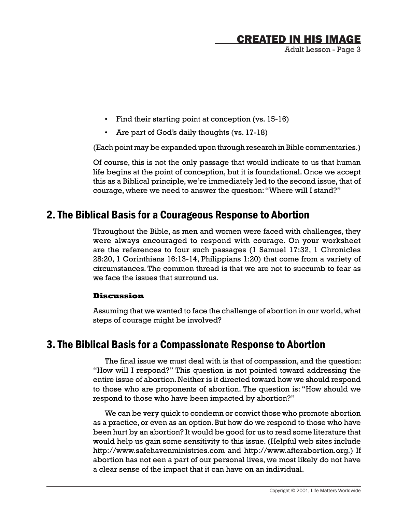Adult Lesson - Page 3

- Find their starting point at conception (vs. 15-16)
- Are part of God's daily thoughts (vs. 17-18)

(Each point may be expanded upon through research in Bible commentaries.)

Of course, this is not the only passage that would indicate to us that human life begins at the point of conception, but it is foundational. Once we accept this as a Biblical principle, we're immediately led to the second issue, that of courage, where we need to answer the question: "Where will I stand?"

### 2. The Biblical Basis for a Courageous Response to Abortion

Throughout the Bible, as men and women were faced with challenges, they were always encouraged to respond with courage. On your worksheet are the references to four such passages (1 Samuel 17:32, 1 Chronicles 28:20, 1 Corinthians 16:13-14, Philippians 1:20) that come from a variety of circumstances. The common thread is that we are not to succumb to fear as we face the issues that surround us.

### **Discussion**

Assuming that we wanted to face the challenge of abortion in our world, what steps of courage might be involved?

### 3. The Biblical Basis for a Compassionate Response to Abortion

The final issue we must deal with is that of compassion, and the question: "How will I respond?" This question is not pointed toward addressing the entire issue of abortion. Neither is it directed toward how we should respond to those who are proponents of abortion. The question is: "How should we respond to those who have been impacted by abortion?"

We can be very quick to condemn or convict those who promote abortion as a practice, or even as an option. But how do we respond to those who have been hurt by an abortion? It would be good for us to read some literature that would help us gain some sensitivity to this issue. (Helpful web sites include http://www.safehavenministries.com and http://www.afterabortion.org.) If abortion has not een a part of our personal lives, we most likely do not have a clear sense of the impact that it can have on an individual.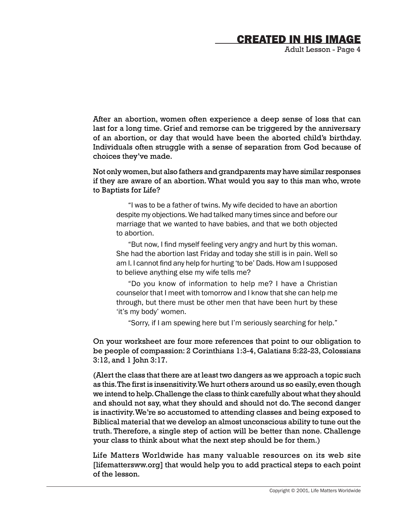Adult Lesson - Page 4

After an abortion, women often experience a deep sense of loss that can last for a long time. Grief and remorse can be triggered by the anniversary of an abortion, or day that would have been the aborted child's birthday. Individuals often struggle with a sense of separation from God because of choices they've made.

Not only women, but also fathers and grandparents may have similar responses if they are aware of an abortion. What would you say to this man who, wrote to Baptists for Life?

"I was to be a father of twins. My wife decided to have an abortion despite my objections. We had talked many times since and before our marriage that we wanted to have babies, and that we both objected to abortion.

"But now, I find myself feeling very angry and hurt by this woman. She had the abortion last Friday and today she still is in pain. Well so am I. I cannot find any help for hurting 'to be' Dads. How am I supposed to believe anything else my wife tells me?

"Do you know of information to help me? I have a Christian counselor that I meet with tomorrow and I know that she can help me through, but there must be other men that have been hurt by these 'it's my body' women.

"Sorry, if I am spewing here but I'm seriously searching for help."

On your worksheet are four more references that point to our obligation to be people of compassion: 2 Corinthians 1:3-4, Galatians 5:22-23, Colossians 3:12, and 1 John 3:17.

(Alert the class that there are at least two dangers as we approach a topic such as this. The first is insensitivity. We hurt others around us so easily, even though we intend to help. Challenge the class to think carefully about what they should and should not say, what they should and should not do. The second danger is inactivity. We're so accustomed to attending classes and being exposed to Biblical material that we develop an almost unconscious ability to tune out the truth. Therefore, a single step of action will be better than none. Challenge your class to think about what the next step should be for them.)

Life Matters Worldwide has many valuable resources on its web site [lifemattersww.org] that would help you to add practical steps to each point of the lesson.